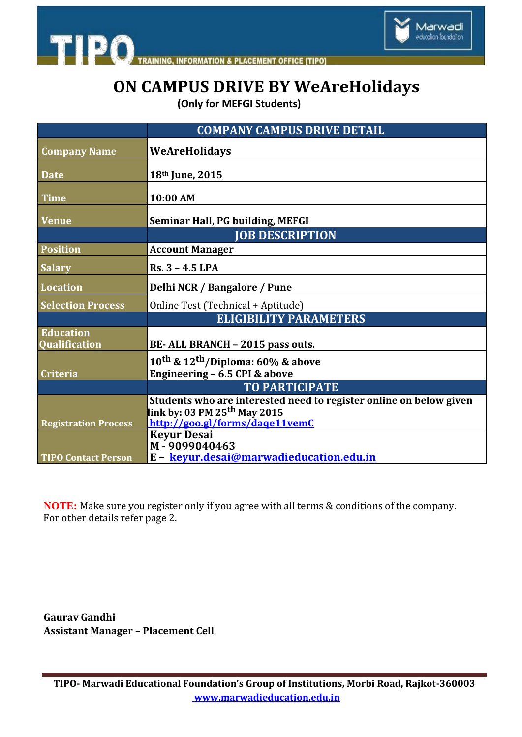

**INFORMATION & PLACEMENT OFFICE [TIPO]** 

**TIPO** 

# **ON CAMPUS DRIVE BY WeAreHolidays**

 **(Only for MEFGI Students)**

|                             | <b>COMPANY CAMPUS DRIVE DETAIL</b>                                 |
|-----------------------------|--------------------------------------------------------------------|
| <b>Company Name</b>         | WeAreHolidays                                                      |
|                             |                                                                    |
| <b>Date</b>                 | 18th June, 2015                                                    |
| <b>Time</b>                 | 10:00 AM                                                           |
| <b>Venue</b>                | <b>Seminar Hall, PG building, MEFGI</b>                            |
|                             | <b>JOB DESCRIPTION</b>                                             |
| <b>Position</b>             | <b>Account Manager</b>                                             |
| <b>Salary</b>               | $Rs. 3 - 4.5$ LPA                                                  |
| <b>Location</b>             | Delhi NCR / Bangalore / Pune                                       |
| <b>Selection Process</b>    | Online Test (Technical + Aptitude)                                 |
|                             | <b>ELIGIBILITY PARAMETERS</b>                                      |
| <b>Education</b>            |                                                                    |
| <b>Qualification</b>        | BE-ALL BRANCH - 2015 pass outs.                                    |
|                             | 10 <sup>th</sup> & 12 <sup>th</sup> /Diploma: 60% & above          |
| <b>Criteria</b>             | Engineering - 6.5 CPI & above                                      |
|                             | <b>TO PARTICIPATE</b>                                              |
|                             | Students who are interested need to register online on below given |
|                             | link by: 03 PM 25 <sup>th</sup> May 2015                           |
| <b>Registration Process</b> | http://goo.gl/forms/dage11vemC                                     |
|                             | <b>Keyur Desai</b>                                                 |
|                             | M-9099040463                                                       |
| <b>TIPO Contact Person</b>  | E - keyur.desai@marwadieducation.edu.in                            |

**NOTE:** Make sure you register only if you agree with all terms & conditions of the company. For other details refer page 2.

**Gaurav Gandhi Assistant Manager – Placement Cell**